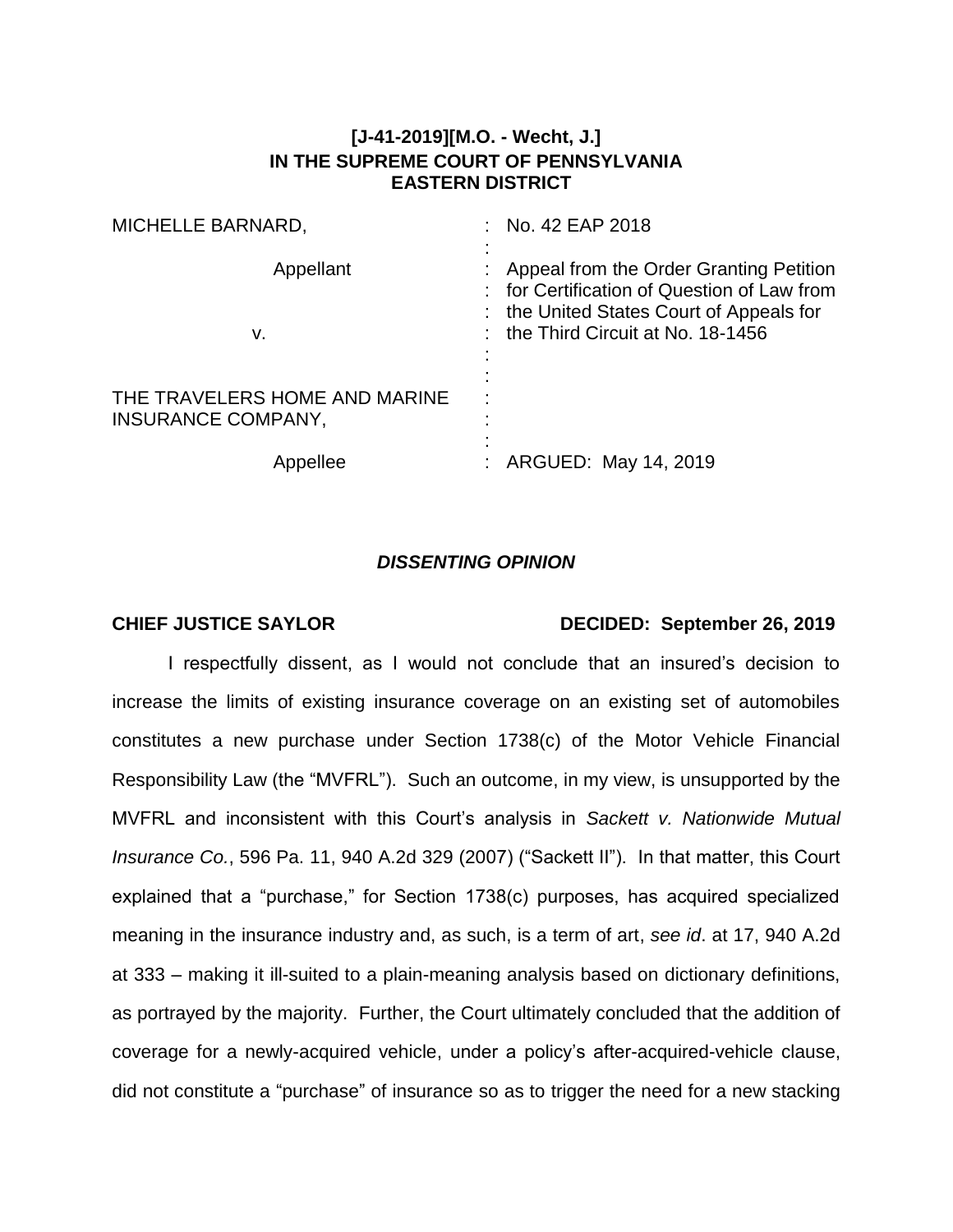## **[J-41-2019][M.O. - Wecht, J.] IN THE SUPREME COURT OF PENNSYLVANIA EASTERN DISTRICT**

| MICHELLE BARNARD,                                   | No. 42 EAP 2018                                                                                                                                                    |
|-----------------------------------------------------|--------------------------------------------------------------------------------------------------------------------------------------------------------------------|
| Appellant<br>v.                                     | Appeal from the Order Granting Petition<br>for Certification of Question of Law from<br>the United States Court of Appeals for<br>the Third Circuit at No. 18-1456 |
| THE TRAVELERS HOME AND MARINE<br>INSURANCE COMPANY, |                                                                                                                                                                    |
| Appellee                                            | ARGUED: May 14, 2019                                                                                                                                               |

## *DISSENTING OPINION*

## **CHIEF JUSTICE SAYLOR DECIDED: September 26, 2019**

I respectfully dissent, as I would not conclude that an insured's decision to increase the limits of existing insurance coverage on an existing set of automobiles constitutes a new purchase under Section 1738(c) of the Motor Vehicle Financial Responsibility Law (the "MVFRL"). Such an outcome, in my view, is unsupported by the MVFRL and inconsistent with this Court's analysis in *Sackett v. Nationwide Mutual Insurance Co.*, 596 Pa. 11, 940 A.2d 329 (2007) ("Sackett II"). In that matter, this Court explained that a "purchase," for Section 1738(c) purposes, has acquired specialized meaning in the insurance industry and, as such, is a term of art, *see id*. at 17, 940 A.2d at 333 – making it ill-suited to a plain-meaning analysis based on dictionary definitions, as portrayed by the majority. Further, the Court ultimately concluded that the addition of coverage for a newly-acquired vehicle, under a policy's after-acquired-vehicle clause, did not constitute a "purchase" of insurance so as to trigger the need for a new stacking